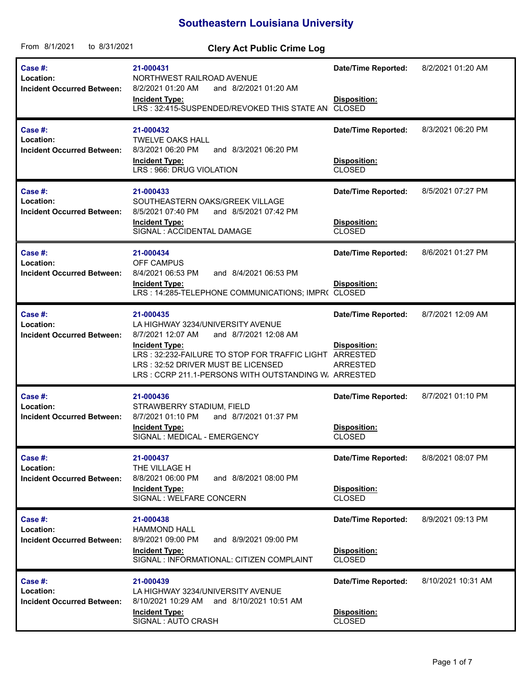## **Southeastern Louisiana University**

| From 8/1/2021<br>to 8/31/2021                             | <b>Clery Act Public Crime Log</b>                                                                                                                                                                                                                                             |                                                                    |                    |
|-----------------------------------------------------------|-------------------------------------------------------------------------------------------------------------------------------------------------------------------------------------------------------------------------------------------------------------------------------|--------------------------------------------------------------------|--------------------|
| Case #:<br>Location:<br><b>Incident Occurred Between:</b> | 21-000431<br>NORTHWEST RAILROAD AVENUE<br>8/2/2021 01:20 AM<br>and 8/2/2021 01:20 AM<br><b>Incident Type:</b><br>LRS: 32:415-SUSPENDED/REVOKED THIS STATE AN CLOSED                                                                                                           | <b>Date/Time Reported:</b><br>Disposition:                         | 8/2/2021 01:20 AM  |
| Case #:<br>Location:<br><b>Incident Occurred Between:</b> | 21-000432<br><b>TWELVE OAKS HALL</b><br>8/3/2021 06:20 PM<br>and 8/3/2021 06:20 PM<br><b>Incident Type:</b><br>LRS: 966: DRUG VIOLATION                                                                                                                                       | <b>Date/Time Reported:</b><br>Disposition:<br><b>CLOSED</b>        | 8/3/2021 06:20 PM  |
| Case #:<br>Location:<br><b>Incident Occurred Between:</b> | 21-000433<br>SOUTHEASTERN OAKS/GREEK VILLAGE<br>8/5/2021 07:40 PM<br>and 8/5/2021 07:42 PM<br><b>Incident Type:</b><br>SIGNAL : ACCIDENTAL DAMAGE                                                                                                                             | <b>Date/Time Reported:</b><br>Disposition:<br><b>CLOSED</b>        | 8/5/2021 07:27 PM  |
| Case #:<br>Location:<br><b>Incident Occurred Between:</b> | 21-000434<br>OFF CAMPUS<br>8/4/2021 06:53 PM<br>and 8/4/2021 06:53 PM<br><b>Incident Type:</b><br>LRS: 14:285-TELEPHONE COMMUNICATIONS; IMPR( CLOSED                                                                                                                          | <b>Date/Time Reported:</b><br>Disposition:                         | 8/6/2021 01:27 PM  |
| Case #:<br>Location:<br><b>Incident Occurred Between:</b> | 21-000435<br>LA HIGHWAY 3234/UNIVERSITY AVENUE<br>8/7/2021 12:07 AM<br>and 8/7/2021 12:08 AM<br><b>Incident Type:</b><br>LRS: 32:232-FAILURE TO STOP FOR TRAFFIC LIGHT ARRESTED<br>LRS: 32:52 DRIVER MUST BE LICENSED<br>LRS: CCRP 211.1-PERSONS WITH OUTSTANDING W. ARRESTED | <b>Date/Time Reported:</b><br>Disposition:<br>ARRESTED             | 8/7/2021 12:09 AM  |
| Case #:<br>Location:<br><b>Incident Occurred Between:</b> | 21-000436<br>STRAWBERRY STADIUM, FIELD<br>8/7/2021 01:10 PM<br>and 8/7/2021 01:37 PM<br><b>Incident Type:</b><br>SIGNAL : MEDICAL - EMERGENCY                                                                                                                                 | <b>Date/Time Reported:</b><br><b>Disposition:</b><br><b>CLOSED</b> | 8/7/2021 01:10 PM  |
| Case #:<br>Location:<br><b>Incident Occurred Between:</b> | 21-000437<br>THE VILLAGE H<br>8/8/2021 06:00 PM<br>and 8/8/2021 08:00 PM<br><b>Incident Type:</b><br>SIGNAL : WELFARE CONCERN                                                                                                                                                 | <b>Date/Time Reported:</b><br><b>Disposition:</b><br><b>CLOSED</b> | 8/8/2021 08:07 PM  |
| Case #:<br>Location:<br><b>Incident Occurred Between:</b> | 21-000438<br><b>HAMMOND HALL</b><br>8/9/2021 09:00 PM<br>and 8/9/2021 09:00 PM<br><b>Incident Type:</b><br>SIGNAL : INFORMATIONAL: CITIZEN COMPLAINT                                                                                                                          | Date/Time Reported:<br>Disposition:<br><b>CLOSED</b>               | 8/9/2021 09:13 PM  |
| Case #:<br>Location:<br><b>Incident Occurred Between:</b> | 21-000439<br>LA HIGHWAY 3234/UNIVERSITY AVENUE<br>8/10/2021 10:29 AM<br>and 8/10/2021 10:51 AM<br><b>Incident Type:</b><br>SIGNAL: AUTO CRASH                                                                                                                                 | <b>Date/Time Reported:</b><br>Disposition:<br><b>CLOSED</b>        | 8/10/2021 10:31 AM |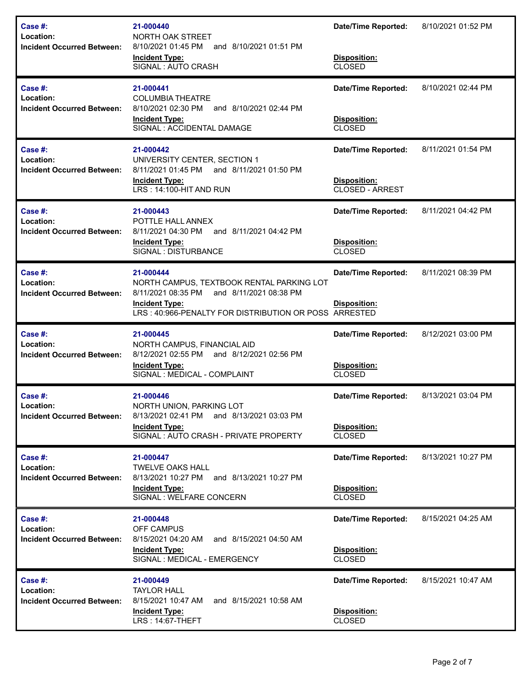| Case #:<br>Location:<br><b>Incident Occurred Between:</b>        | 21-000440<br>NORTH OAK STREET<br>8/10/2021 01:45 PM<br>and 8/10/2021 01:51 PM<br><b>Incident Type:</b><br>SIGNAL: AUTO CRASH                                                          | <b>Date/Time Reported:</b><br>Disposition:<br><b>CLOSED</b>          | 8/10/2021 01:52 PM |
|------------------------------------------------------------------|---------------------------------------------------------------------------------------------------------------------------------------------------------------------------------------|----------------------------------------------------------------------|--------------------|
| Case #:<br>Location:<br><b>Incident Occurred Between:</b>        | 21-000441<br><b>COLUMBIA THEATRE</b><br>8/10/2021 02:30 PM<br>and 8/10/2021 02:44 PM<br><b>Incident Type:</b><br>SIGNAL : ACCIDENTAL DAMAGE                                           | <b>Date/Time Reported:</b><br>Disposition:<br><b>CLOSED</b>          | 8/10/2021 02:44 PM |
| Case #:<br>Location:<br><b>Incident Occurred Between:</b>        | 21-000442<br>UNIVERSITY CENTER, SECTION 1<br>8/11/2021 01:45 PM<br>and 8/11/2021 01:50 PM<br><b>Incident Type:</b><br>LRS: 14:100-HIT AND RUN                                         | <b>Date/Time Reported:</b><br><b>Disposition:</b><br>CLOSED - ARREST | 8/11/2021 01:54 PM |
| Case #:<br>Location:<br><b>Incident Occurred Between:</b>        | 21-000443<br>POTTLE HALL ANNEX<br>8/11/2021 04:30 PM<br>and 8/11/2021 04:42 PM<br><b>Incident Type:</b><br>SIGNAL : DISTURBANCE                                                       | <b>Date/Time Reported:</b><br>Disposition:<br>CLOSED                 | 8/11/2021 04:42 PM |
| Case #:<br>Location:<br><b>Incident Occurred Between:</b>        | 21-000444<br>NORTH CAMPUS, TEXTBOOK RENTAL PARKING LOT<br>8/11/2021 08:35 PM and 8/11/2021 08:38 PM<br><b>Incident Type:</b><br>LRS: 40:966-PENALTY FOR DISTRIBUTION OR POSS ARRESTED | <b>Date/Time Reported:</b><br><b>Disposition:</b>                    | 8/11/2021 08:39 PM |
| <b>Case #:</b><br>Location:<br><b>Incident Occurred Between:</b> | 21-000445<br>NORTH CAMPUS, FINANCIAL AID<br>8/12/2021 02:55 PM and 8/12/2021 02:56 PM<br><b>Incident Type:</b><br>SIGNAL : MEDICAL - COMPLAINT                                        | <b>Date/Time Reported:</b><br>Disposition:<br><b>CLOSED</b>          | 8/12/2021 03:00 PM |
| <b>Case #:</b><br>Location:<br><b>Incident Occurred Between:</b> | 21-000446<br>NORTH UNION, PARKING LOT<br>8/13/2021 02:41 PM and 8/13/2021 03:03 PM<br><b>Incident Type:</b><br>SIGNAL: AUTO CRASH - PRIVATE PROPERTY                                  | <b>Date/Time Reported:</b><br>Disposition:<br>CLOSED                 | 8/13/2021 03:04 PM |
| <b>Case #:</b><br>Location:<br><b>Incident Occurred Between:</b> | 21-000447<br><b>TWELVE OAKS HALL</b><br>8/13/2021 10:27 PM and 8/13/2021 10:27 PM<br><b>Incident Type:</b><br>SIGNAL : WELFARE CONCERN                                                | <b>Date/Time Reported:</b><br>Disposition:<br><b>CLOSED</b>          | 8/13/2021 10:27 PM |
| Case #:<br>Location:<br><b>Incident Occurred Between:</b>        | 21-000448<br>OFF CAMPUS<br>8/15/2021 04:20 AM<br>and 8/15/2021 04:50 AM<br><b>Incident Type:</b><br>SIGNAL : MEDICAL - EMERGENCY                                                      | <b>Date/Time Reported:</b><br>Disposition:<br><b>CLOSED</b>          | 8/15/2021 04:25 AM |
| Case #:<br>Location:<br><b>Incident Occurred Between:</b>        | 21-000449<br><b>TAYLOR HALL</b><br>and 8/15/2021 10:58 AM<br>8/15/2021 10:47 AM                                                                                                       | <b>Date/Time Reported:</b>                                           | 8/15/2021 10:47 AM |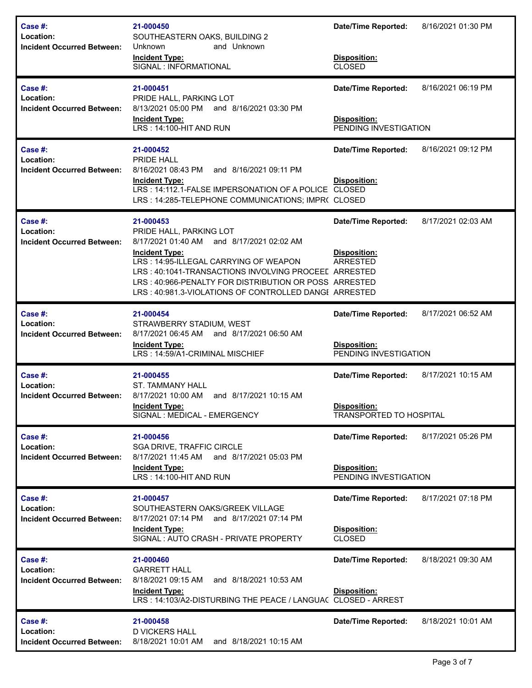| Case #:<br>Location:<br><b>Incident Occurred Between:</b> | 21-000450<br>SOUTHEASTERN OAKS, BUILDING 2<br>Unknown<br>and Unknown<br><b>Incident Type:</b><br>SIGNAL : INFORMATIONAL                                                                                                                                                                                                       | <b>Date/Time Reported:</b><br>Disposition:<br><b>CLOSED</b>                         | 8/16/2021 01:30 PM |
|-----------------------------------------------------------|-------------------------------------------------------------------------------------------------------------------------------------------------------------------------------------------------------------------------------------------------------------------------------------------------------------------------------|-------------------------------------------------------------------------------------|--------------------|
| Case #:<br>Location:<br><b>Incident Occurred Between:</b> | 21-000451<br>PRIDE HALL, PARKING LOT<br>8/13/2021 05:00 PM and 8/16/2021 03:30 PM<br><b>Incident Type:</b><br>LRS: 14:100-HIT AND RUN                                                                                                                                                                                         | <b>Date/Time Reported:</b><br><b>Disposition:</b><br>PENDING INVESTIGATION          | 8/16/2021 06:19 PM |
| Case #:<br>Location:<br><b>Incident Occurred Between:</b> | 21-000452<br>PRIDE HALL<br>8/16/2021 08:43 PM<br>and 8/16/2021 09:11 PM<br><b>Incident Type:</b><br>LRS: 14:112.1-FALSE IMPERSONATION OF A POLICE CLOSED<br>LRS: 14:285-TELEPHONE COMMUNICATIONS; IMPR( CLOSED                                                                                                                | <b>Date/Time Reported:</b><br><b>Disposition:</b>                                   | 8/16/2021 09:12 PM |
| Case #:<br>Location:<br><b>Incident Occurred Between:</b> | 21-000453<br>PRIDE HALL, PARKING LOT<br>8/17/2021 01:40 AM and 8/17/2021 02:02 AM<br><b>Incident Type:</b><br>LRS: 14:95-ILLEGAL CARRYING OF WEAPON<br>LRS: 40:1041-TRANSACTIONS INVOLVING PROCEEL ARRESTED<br>LRS: 40:966-PENALTY FOR DISTRIBUTION OR POSS ARRESTED<br>LRS: 40:981.3-VIOLATIONS OF CONTROLLED DANGE ARRESTED | <b>Date/Time Reported:</b><br>Disposition:<br><b>ARRESTED</b>                       | 8/17/2021 02:03 AM |
| Case #:<br>Location:<br><b>Incident Occurred Between:</b> | 21-000454<br>STRAWBERRY STADIUM, WEST<br>8/17/2021 06:45 AM and 8/17/2021 06:50 AM<br><b>Incident Type:</b><br>LRS: 14:59/A1-CRIMINAL MISCHIEF                                                                                                                                                                                | <b>Date/Time Reported:</b><br>Disposition:<br>PENDING INVESTIGATION                 | 8/17/2021 06:52 AM |
| Case #:<br>Location:<br><b>Incident Occurred Between:</b> | 21-000455<br><b>ST. TAMMANY HALL</b><br>8/17/2021 10:00 AM<br>and 8/17/2021 10:15 AM<br><b>Incident Type:</b><br>SIGNAL : MEDICAL - EMERGENCY                                                                                                                                                                                 | <b>Date/Time Reported:</b><br><b>Disposition:</b><br><b>TRANSPORTED TO HOSPITAL</b> | 8/17/2021 10:15 AM |
| Case #:<br>Location:<br><b>Incident Occurred Between:</b> | 21-000456<br>SGA DRIVE, TRAFFIC CIRCLE<br>8/17/2021 11:45 AM and 8/17/2021 05:03 PM<br><b>Incident Type:</b><br>LRS: 14:100-HIT AND RUN                                                                                                                                                                                       | <b>Date/Time Reported:</b><br><b>Disposition:</b><br>PENDING INVESTIGATION          | 8/17/2021 05:26 PM |
| Case #:<br>Location:<br><b>Incident Occurred Between:</b> | 21-000457<br>SOUTHEASTERN OAKS/GREEK VILLAGE<br>8/17/2021 07:14 PM and 8/17/2021 07:14 PM<br><b>Incident Type:</b><br>SIGNAL: AUTO CRASH - PRIVATE PROPERTY                                                                                                                                                                   | <b>Date/Time Reported:</b><br>Disposition:<br><b>CLOSED</b>                         | 8/17/2021 07:18 PM |
| Case #:<br>Location:<br><b>Incident Occurred Between:</b> | 21-000460<br><b>GARRETT HALL</b><br>and 8/18/2021 10:53 AM<br>8/18/2021 09:15 AM<br><b>Incident Type:</b><br>LRS: 14:103/A2-DISTURBING THE PEACE / LANGUA( CLOSED - ARREST                                                                                                                                                    | <b>Date/Time Reported:</b><br>Disposition:                                          | 8/18/2021 09:30 AM |
| Case #:<br>Location:<br><b>Incident Occurred Between:</b> | 21-000458<br><b>D VICKERS HALL</b><br>and 8/18/2021 10:15 AM<br>8/18/2021 10:01 AM                                                                                                                                                                                                                                            | <b>Date/Time Reported:</b>                                                          | 8/18/2021 10:01 AM |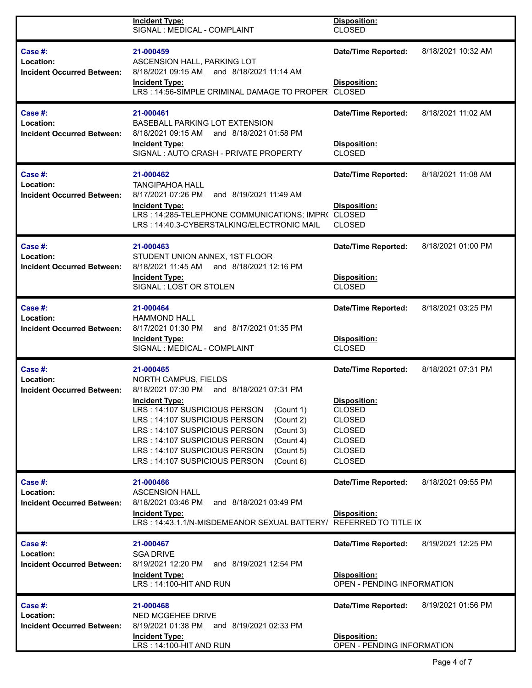|                                                              | <b>Incident Type:</b><br>SIGNAL : MEDICAL - COMPLAINT                                                                                                                   | Disposition:<br><b>CLOSED</b>                     |                    |  |
|--------------------------------------------------------------|-------------------------------------------------------------------------------------------------------------------------------------------------------------------------|---------------------------------------------------|--------------------|--|
| Case #:<br>Location:<br><b>Incident Occurred Between:</b>    | 21-000459<br>ASCENSION HALL, PARKING LOT<br>8/18/2021 09:15 AM<br>and 8/18/2021 11:14 AM<br><b>Incident Type:</b><br>LRS: 14:56-SIMPLE CRIMINAL DAMAGE TO PROPER CLOSED | <b>Date/Time Reported:</b><br>Disposition:        | 8/18/2021 10:32 AM |  |
| Case #:<br>Location:<br><b>Incident Occurred Between:</b>    | 21-000461<br><b>BASEBALL PARKING LOT EXTENSION</b><br>8/18/2021 09:15 AM and 8/18/2021 01:58 PM                                                                         | <b>Date/Time Reported:</b>                        | 8/18/2021 11:02 AM |  |
|                                                              | <b>Incident Type:</b><br>SIGNAL: AUTO CRASH - PRIVATE PROPERTY                                                                                                          |                                                   |                    |  |
| Case $#$ :<br>Location:<br><b>Incident Occurred Between:</b> | 21-000462<br><b>TANGIPAHOA HALL</b><br>8/17/2021 07:26 PM<br>and 8/19/2021 11:49 AM                                                                                     | <b>Date/Time Reported:</b>                        | 8/18/2021 11:08 AM |  |
|                                                              | <b>Incident Type:</b><br>LRS: 14:285-TELEPHONE COMMUNICATIONS; IMPR( CLOSED<br>LRS: 14:40.3-CYBERSTALKING/ELECTRONIC MAIL                                               | Disposition:<br><b>CLOSED</b>                     |                    |  |
| Case #:<br>Location:                                         | 21-000463<br>STUDENT UNION ANNEX, 1ST FLOOR                                                                                                                             | <b>Date/Time Reported:</b>                        | 8/18/2021 01:00 PM |  |
| <b>Incident Occurred Between:</b>                            | 8/18/2021 11:45 AM and 8/18/2021 12:16 PM<br><b>Incident Type:</b><br>SIGNAL: LOST OR STOLEN                                                                            | Disposition:<br><b>CLOSED</b>                     |                    |  |
| Case #:<br>Location:<br><b>Incident Occurred Between:</b>    | 21-000464<br><b>HAMMOND HALL</b><br>8/17/2021 01:30 PM<br>and 8/17/2021 01:35 PM                                                                                        | <b>Date/Time Reported:</b>                        | 8/18/2021 03:25 PM |  |
|                                                              | <b>Incident Type:</b><br>SIGNAL : MEDICAL - COMPLAINT                                                                                                                   | Disposition:<br><b>CLOSED</b>                     |                    |  |
| Case #:<br>Location:<br><b>Incident Occurred Between:</b>    | 21-000465<br>NORTH CAMPUS, FIELDS<br>8/18/2021 07:30 PM<br>and 8/18/2021 07:31 PM                                                                                       | <b>Date/Time Reported:</b>                        | 8/18/2021 07:31 PM |  |
|                                                              | <b>Incident Type:</b><br>LRS: 14:107 SUSPICIOUS PERSON<br>(Count 1)                                                                                                     | Disposition:<br><b>CLOSED</b>                     |                    |  |
|                                                              | LRS: 14:107 SUSPICIOUS PERSON<br>(Count 2)<br>LRS: 14:107 SUSPICIOUS PERSON<br>(Count 3)                                                                                | <b>CLOSED</b><br><b>CLOSED</b>                    |                    |  |
|                                                              | LRS: 14:107 SUSPICIOUS PERSON<br>(Count 4)<br>LRS: 14:107 SUSPICIOUS PERSON<br>(Count 5)                                                                                | <b>CLOSED</b><br><b>CLOSED</b>                    |                    |  |
|                                                              | LRS: 14:107 SUSPICIOUS PERSON<br>(Count 6)                                                                                                                              | <b>CLOSED</b>                                     |                    |  |
| Case $#$ :<br>Location:                                      | 21-000466<br><b>ASCENSION HALL</b>                                                                                                                                      | <b>Date/Time Reported:</b>                        | 8/18/2021 09:55 PM |  |
| <b>Incident Occurred Between:</b>                            | 8/18/2021 03:46 PM<br>and 8/18/2021 03:49 PM<br><b>Incident Type:</b><br>LRS: 14:43.1.1/N-MISDEMEANOR SEXUAL BATTERY/ REFERRED TO TITLE IX                              | Disposition:                                      |                    |  |
| Case $#$ :<br>Location:<br><b>Incident Occurred Between:</b> | 21-000467<br><b>SGA DRIVE</b><br>8/19/2021 12:20 PM<br>and 8/19/2021 12:54 PM                                                                                           | <b>Date/Time Reported:</b>                        | 8/19/2021 12:25 PM |  |
|                                                              | <b>Incident Type:</b><br>LRS: 14:100-HIT AND RUN                                                                                                                        | Disposition:<br><b>OPEN - PENDING INFORMATION</b> |                    |  |
| Case #:<br>Location:<br><b>Incident Occurred Between:</b>    | 21-000468<br><b>NED MCGEHEE DRIVE</b><br>8/19/2021 01:38 PM<br>and 8/19/2021 02:33 PM                                                                                   | <b>Date/Time Reported:</b>                        | 8/19/2021 01:56 PM |  |
|                                                              | <b>Incident Type:</b><br>LRS: 14:100-HIT AND RUN                                                                                                                        | Disposition:<br>OPEN - PENDING INFORMATION        |                    |  |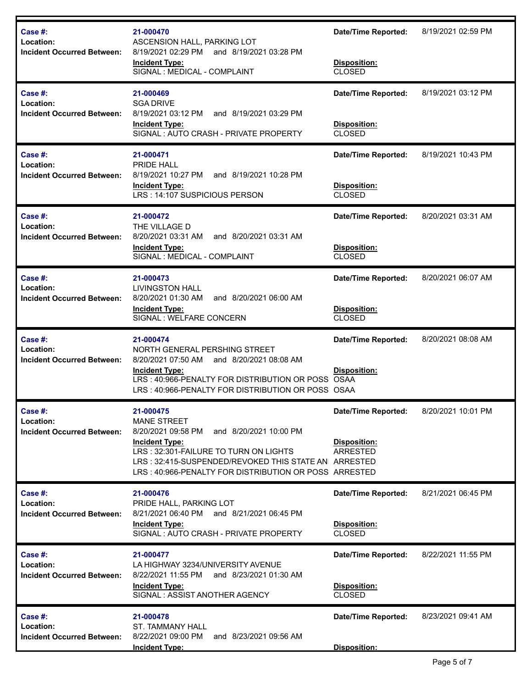| Case #:<br>Location:<br><b>Incident Occurred Between:</b> | 21-000470<br>ASCENSION HALL, PARKING LOT<br>8/19/2021 02:29 PM<br>and 8/19/2021 03:28 PM<br><b>Incident Type:</b><br>SIGNAL : MEDICAL - COMPLAINT                                                                                                                  | <b>Date/Time Reported:</b><br>Disposition:<br><b>CLOSED</b>        | 8/19/2021 02:59 PM |
|-----------------------------------------------------------|--------------------------------------------------------------------------------------------------------------------------------------------------------------------------------------------------------------------------------------------------------------------|--------------------------------------------------------------------|--------------------|
| Case #:<br>Location:<br><b>Incident Occurred Between:</b> | 21-000469<br><b>SGA DRIVE</b><br>8/19/2021 03:12 PM<br>and 8/19/2021 03:29 PM<br><b>Incident Type:</b><br>SIGNAL: AUTO CRASH - PRIVATE PROPERTY                                                                                                                    | <b>Date/Time Reported:</b><br>Disposition:<br><b>CLOSED</b>        | 8/19/2021 03:12 PM |
| Case #:<br>Location:<br><b>Incident Occurred Between:</b> | 21-000471<br><b>PRIDE HALL</b><br>8/19/2021 10:27 PM<br>and 8/19/2021 10:28 PM<br><b>Incident Type:</b><br>LRS : 14:107 SUSPICIOUS PERSON                                                                                                                          | <b>Date/Time Reported:</b><br>Disposition:<br><b>CLOSED</b>        | 8/19/2021 10:43 PM |
| Case #:<br>Location:<br><b>Incident Occurred Between:</b> | 21-000472<br>THE VILLAGE D<br>8/20/2021 03:31 AM<br>and 8/20/2021 03:31 AM<br><b>Incident Type:</b><br>SIGNAL : MEDICAL - COMPLAINT                                                                                                                                | <b>Date/Time Reported:</b><br>Disposition:<br><b>CLOSED</b>        | 8/20/2021 03:31 AM |
| Case #:<br>Location:<br><b>Incident Occurred Between:</b> | 21-000473<br><b>LIVINGSTON HALL</b><br>8/20/2021 01:30 AM<br>and 8/20/2021 06:00 AM<br><b>Incident Type:</b><br>SIGNAL : WELFARE CONCERN                                                                                                                           | <b>Date/Time Reported:</b><br><b>Disposition:</b><br><b>CLOSED</b> | 8/20/2021 06:07 AM |
| Case #:<br>Location:<br><b>Incident Occurred Between:</b> | 21-000474<br>NORTH GENERAL PERSHING STREET<br>8/20/2021 07:50 AM<br>and 8/20/2021 08:08 AM<br><b>Incident Type:</b><br>LRS: 40:966-PENALTY FOR DISTRIBUTION OR POSS OSAA<br>LRS: 40:966-PENALTY FOR DISTRIBUTION OR POSS OSAA                                      | <b>Date/Time Reported:</b><br>Disposition:                         | 8/20/2021 08:08 AM |
| Case #:<br>Location:<br><b>Incident Occurred Between:</b> | 21-000475<br><b>MANE STREET</b><br>8/20/2021 09:58 PM<br>and 8/20/2021 10:00 PM<br><b>Incident Type:</b><br>LRS: 32:301-FAILURE TO TURN ON LIGHTS<br>LRS: 32:415-SUSPENDED/REVOKED THIS STATE AN ARRESTED<br>LRS: 40:966-PENALTY FOR DISTRIBUTION OR POSS ARRESTED | <b>Date/Time Reported:</b><br>Disposition:<br><b>ARRESTED</b>      | 8/20/2021 10:01 PM |
| Case #:<br>Location:<br><b>Incident Occurred Between:</b> | 21-000476<br>PRIDE HALL, PARKING LOT<br>8/21/2021 06:40 PM and 8/21/2021 06:45 PM<br><b>Incident Type:</b><br>SIGNAL: AUTO CRASH - PRIVATE PROPERTY                                                                                                                | <b>Date/Time Reported:</b><br>Disposition:<br><b>CLOSED</b>        | 8/21/2021 06:45 PM |
| Case #:<br>Location:<br><b>Incident Occurred Between:</b> | 21-000477<br>LA HIGHWAY 3234/UNIVERSITY AVENUE<br>8/22/2021 11:55 PM and 8/23/2021 01:30 AM<br><b>Incident Type:</b><br>SIGNAL: ASSIST ANOTHER AGENCY                                                                                                              | <b>Date/Time Reported:</b><br>Disposition:<br><b>CLOSED</b>        | 8/22/2021 11:55 PM |
| Case #:<br>Location:<br><b>Incident Occurred Between:</b> | 21-000478<br><b>ST. TAMMANY HALL</b><br>8/22/2021 09:00 PM<br>and 8/23/2021 09:56 AM<br><b>Incident Type:</b>                                                                                                                                                      | <b>Date/Time Reported:</b><br>Disposition:                         | 8/23/2021 09:41 AM |

ı,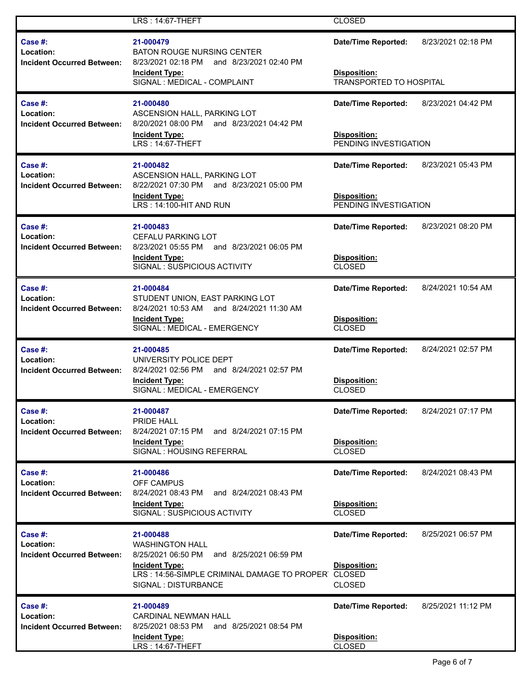|                                                              | LRS: 14:67-THEFT                                                                                                                                                                           | <b>CLOSED</b>                                                                       |                    |
|--------------------------------------------------------------|--------------------------------------------------------------------------------------------------------------------------------------------------------------------------------------------|-------------------------------------------------------------------------------------|--------------------|
| Case $#$ :<br>Location:<br><b>Incident Occurred Between:</b> | 21-000479<br><b>BATON ROUGE NURSING CENTER</b><br>8/23/2021 02:18 PM<br>and 8/23/2021 02:40 PM<br><b>Incident Type:</b><br>SIGNAL : MEDICAL - COMPLAINT                                    | <b>Date/Time Reported:</b><br><b>Disposition:</b><br><b>TRANSPORTED TO HOSPITAL</b> | 8/23/2021 02:18 PM |
| Case $#$ :<br>Location:<br><b>Incident Occurred Between:</b> | 21-000480<br>ASCENSION HALL, PARKING LOT<br>8/20/2021 08:00 PM and 8/23/2021 04:42 PM<br><b>Incident Type:</b><br>LRS: 14:67-THEFT                                                         | <b>Date/Time Reported:</b><br><b>Disposition:</b><br>PENDING INVESTIGATION          | 8/23/2021 04:42 PM |
| Case $#$ :<br>Location:<br><b>Incident Occurred Between:</b> | 21-000482<br>ASCENSION HALL, PARKING LOT<br>8/22/2021 07:30 PM and 8/23/2021 05:00 PM<br>Incident Type:<br>LRS: 14:100-HIT AND RUN                                                         | Date/Time Reported: 8/23/2021 05:43 PM<br>Disposition:<br>PENDING INVESTIGATION     |                    |
| Case $#$ :<br>Location:<br><b>Incident Occurred Between:</b> | 21-000483<br><b>CEFALU PARKING LOT</b><br>8/23/2021 05:55 PM and 8/23/2021 06:05 PM<br><b>Incident Type:</b><br>SIGNAL: SUSPICIOUS ACTIVITY                                                | <b>Date/Time Reported:</b><br>Disposition:<br><b>CLOSED</b>                         | 8/23/2021 08:20 PM |
| Case $#$ :<br>Location:<br><b>Incident Occurred Between:</b> | 21-000484<br>STUDENT UNION, EAST PARKING LOT<br>8/24/2021 10:53 AM and 8/24/2021 11:30 AM<br><b>Incident Type:</b><br>SIGNAL : MEDICAL - EMERGENCY                                         | <b>Date/Time Reported:</b><br><b>Disposition:</b><br><b>CLOSED</b>                  | 8/24/2021 10:54 AM |
| Case $#$ :<br>Location:<br><b>Incident Occurred Between:</b> | 21-000485<br>UNIVERSITY POLICE DEPT<br>8/24/2021 02:56 PM and 8/24/2021 02:57 PM<br><b>Incident Type:</b><br>SIGNAL : MEDICAL - EMERGENCY                                                  | <b>Date/Time Reported:</b><br>Disposition:<br><b>CLOSED</b>                         | 8/24/2021 02:57 PM |
| Case #:<br>Location:<br><b>Incident Occurred Between:</b>    | 21-000487<br><b>PRIDE HALL</b><br>8/24/2021 07:15 PM<br>and 8/24/2021 07:15 PM<br><b>Incident Type:</b><br>SIGNAL: HOUSING REFERRAL                                                        | <b>Date/Time Reported:</b><br>Disposition:<br><b>CLOSED</b>                         | 8/24/2021 07:17 PM |
| Case #:<br>Location:<br><b>Incident Occurred Between:</b>    | 21-000486<br><b>OFF CAMPUS</b><br>8/24/2021 08:43 PM<br>and 8/24/2021 08:43 PM<br><b>Incident Type:</b><br>SIGNAL: SUSPICIOUS ACTIVITY                                                     | <b>Date/Time Reported:</b><br>Disposition:<br><b>CLOSED</b>                         | 8/24/2021 08:43 PM |
| Case $#$ :<br>Location:<br><b>Incident Occurred Between:</b> | 21-000488<br><b>WASHINGTON HALL</b><br>8/25/2021 06:50 PM<br>and 8/25/2021 06:59 PM<br><b>Incident Type:</b><br>LRS: 14:56-SIMPLE CRIMINAL DAMAGE TO PROPER CLOSED<br>SIGNAL : DISTURBANCE | <b>Date/Time Reported:</b><br>Disposition:<br><b>CLOSED</b>                         | 8/25/2021 06:57 PM |
| Case #:<br>Location:<br><b>Incident Occurred Between:</b>    | 21-000489<br><b>CARDINAL NEWMAN HALL</b><br>8/25/2021 08:53 PM<br>and 8/25/2021 08:54 PM<br><b>Incident Type:</b><br>LRS: 14:67-THEFT                                                      | <b>Date/Time Reported:</b><br>Disposition:<br><b>CLOSED</b>                         | 8/25/2021 11:12 PM |